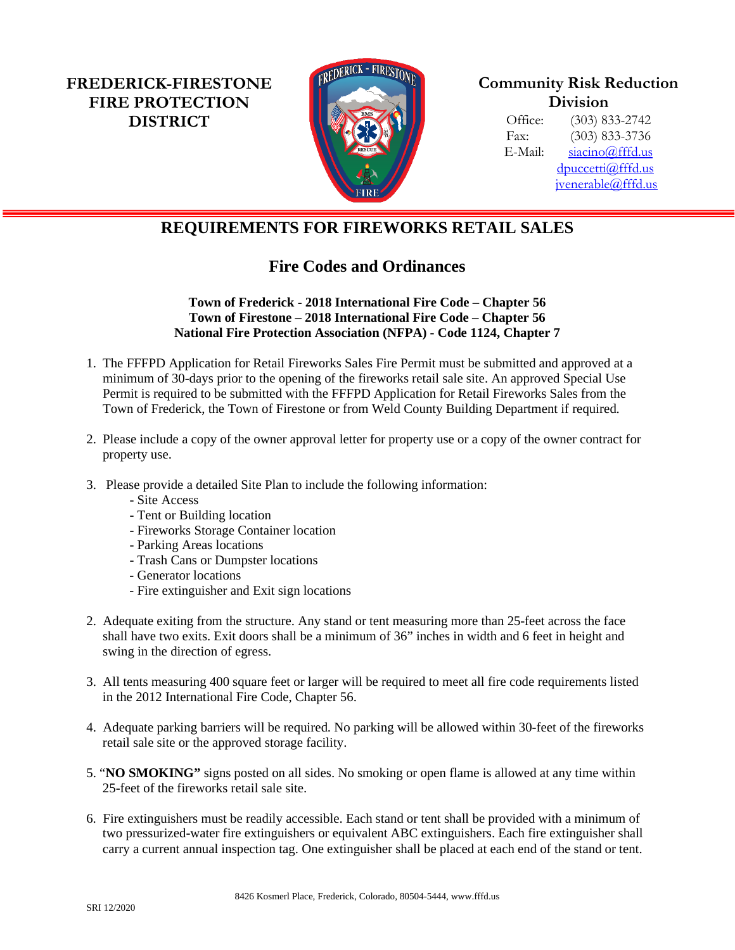**FREDERICK-FIRESTONE FIRE PROTECTION DISTRICT**



**Community Risk Reduction Division**

Office: (303) 833-2742 Fax: (303) 833-3736 E-Mail: [siacino@fffd.us](mailto:siacino@fffd.us) [dpuccetti@fffd.us](mailto:dpuccetti@fffd.us) [jvenerable@fffd.us](mailto:jvenerable@fffd.us)

## **REQUIREMENTS FOR FIREWORKS RETAIL SALES**

## **Fire Codes and Ordinances**

## **Town of Frederick - 2018 International Fire Code – Chapter 56 Town of Firestone – 2018 International Fire Code – Chapter 56 National Fire Protection Association (NFPA) - Code 1124, Chapter 7**

- 1. The FFFPD Application for Retail Fireworks Sales Fire Permit must be submitted and approved at a minimum of 30-days prior to the opening of the fireworks retail sale site. An approved Special Use Permit is required to be submitted with the FFFPD Application for Retail Fireworks Sales from the Town of Frederick, the Town of Firestone or from Weld County Building Department if required.
- 2. Please include a copy of the owner approval letter for property use or a copy of the owner contract for property use.
- 3. Please provide a detailed Site Plan to include the following information:
	- Site Access
	- Tent or Building location
	- Fireworks Storage Container location
	- Parking Areas locations
	- Trash Cans or Dumpster locations
	- Generator locations
	- Fire extinguisher and Exit sign locations
- 2. Adequate exiting from the structure. Any stand or tent measuring more than 25-feet across the face shall have two exits. Exit doors shall be a minimum of 36" inches in width and 6 feet in height and swing in the direction of egress.
- 3. All tents measuring 400 square feet or larger will be required to meet all fire code requirements listed in the 2012 International Fire Code, Chapter 56.
- 4. Adequate parking barriers will be required. No parking will be allowed within 30-feet of the fireworks retail sale site or the approved storage facility.
- 5. "**NO SMOKING"** signs posted on all sides. No smoking or open flame is allowed at any time within 25-feet of the fireworks retail sale site.
- 6. Fire extinguishers must be readily accessible. Each stand or tent shall be provided with a minimum of two pressurized-water fire extinguishers or equivalent ABC extinguishers. Each fire extinguisher shall carry a current annual inspection tag. One extinguisher shall be placed at each end of the stand or tent.